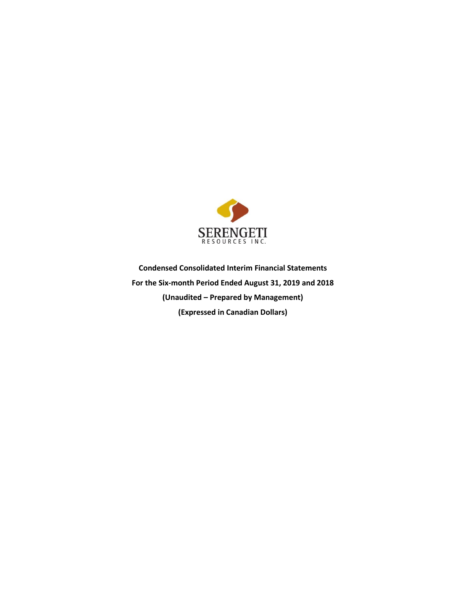

**Condensed Consolidated Interim Financial Statements For the Six-month Period Ended August 31, 2019 and 2018 (Unaudited – Prepared by Management) (Expressed in Canadian Dollars)**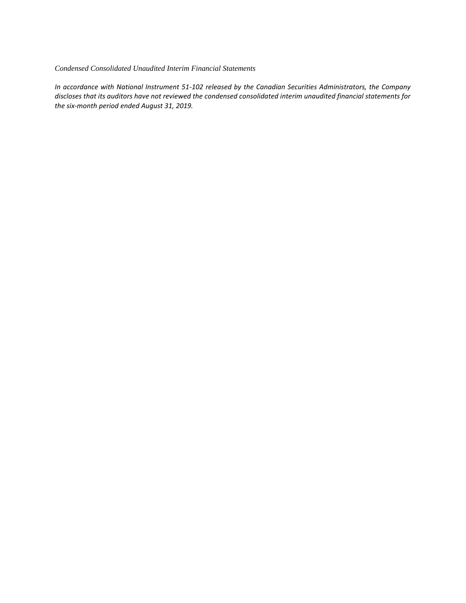#### *Condensed Consolidated Unaudited Interim Financial Statements*

*In accordance with National Instrument 51-102 released by the Canadian Securities Administrators, the Company discloses that its auditors have not reviewed the condensed consolidated interim unaudited financial statements for the six-month period ended August 31, 2019.*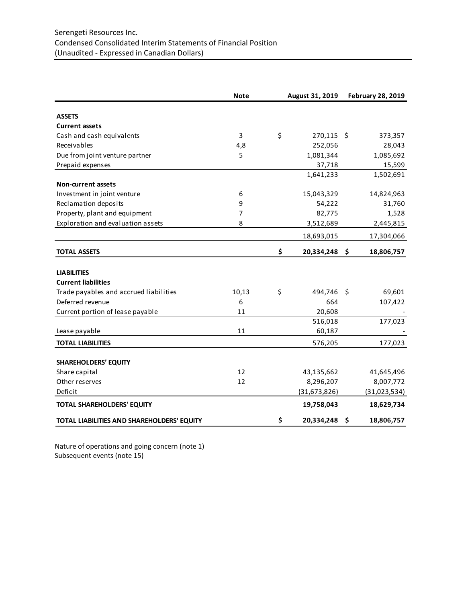|                                            | <b>Note</b> | August 31, 2019  |     | <b>February 28, 2019</b> |
|--------------------------------------------|-------------|------------------|-----|--------------------------|
|                                            |             |                  |     |                          |
| <b>ASSETS</b>                              |             |                  |     |                          |
| <b>Current assets</b>                      |             |                  |     |                          |
| Cash and cash equivalents                  | 3           | \$<br>270,115    | -\$ | 373,357                  |
| Receivables                                | 4,8         | 252,056          |     | 28,043                   |
| Due from joint venture partner             | 5           | 1,081,344        |     | 1,085,692                |
| Prepaid expenses                           |             | 37,718           |     | 15,599                   |
|                                            |             | 1,641,233        |     | 1,502,691                |
| <b>Non-current assets</b>                  |             |                  |     |                          |
| Investment in joint venture                | 6           | 15,043,329       |     | 14,824,963               |
| Reclamation deposits                       | 9           | 54,222           |     | 31,760                   |
| Property, plant and equipment              | 7           | 82,775           |     | 1,528                    |
| Exploration and evaluation assets          | 8           | 3,512,689        |     | 2,445,815                |
|                                            |             | 18,693,015       |     | 17,304,066               |
| <b>TOTAL ASSETS</b>                        |             | \$<br>20,334,248 | \$  | 18,806,757               |
|                                            |             |                  |     |                          |
| <b>LIABILITIES</b>                         |             |                  |     |                          |
| <b>Current liabilities</b>                 |             |                  |     |                          |
| Trade payables and accrued liabilities     | 10,13       | \$<br>494,746    | -\$ | 69,601                   |
| Deferred revenue                           | 6           | 664              |     | 107,422                  |
| Current portion of lease payable           | 11          | 20,608           |     |                          |
|                                            |             | 516,018          |     | 177,023                  |
| Lease payable                              | 11          | 60,187           |     |                          |
| <b>TOTAL LIABILITIES</b>                   |             | 576,205          |     | 177,023                  |
| <b>SHAREHOLDERS' EQUITY</b>                |             |                  |     |                          |
| Share capital                              | 12          | 43,135,662       |     | 41,645,496               |
| Other reserves                             | 12          | 8,296,207        |     | 8,007,772                |
| Deficit                                    |             | (31,673,826)     |     | (31,023,534)             |
| <b>TOTAL SHAREHOLDERS' EQUITY</b>          |             | 19,758,043       |     | 18,629,734               |
| TOTAL LIABILITIES AND SHAREHOLDERS' EQUITY |             | \$<br>20,334,248 | \$  | 18,806,757               |

Nature of operations and going concern (note 1) Subsequent events (note 15)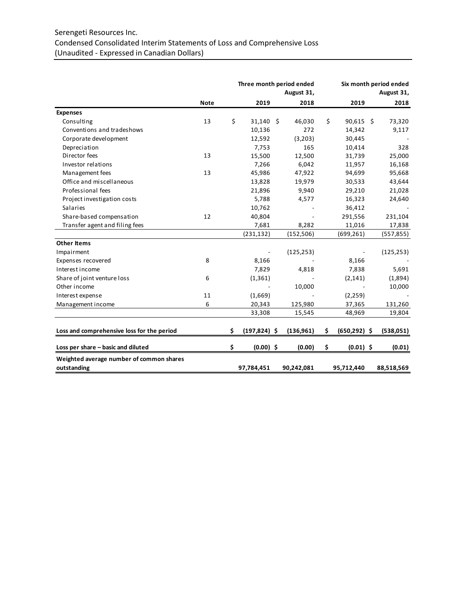# Serengeti Resources Inc. Condensed Consolidated Interim Statements of Loss and Comprehensive Loss (Unaudited - Expressed in Canadian Dollars)

|                                            |             | Three month period ended<br>August 31, |  |            |    | Six month period ended<br>August 31, |  |            |
|--------------------------------------------|-------------|----------------------------------------|--|------------|----|--------------------------------------|--|------------|
|                                            | <b>Note</b> | 2019                                   |  | 2018       |    | 2019                                 |  | 2018       |
| <b>Expenses</b>                            |             |                                        |  |            |    |                                      |  |            |
| Consulting                                 | 13          | \$<br>31,140 \$                        |  | 46,030     | \$ | 90,615 \$                            |  | 73,320     |
| Conventions and tradeshows                 |             | 10,136                                 |  | 272        |    | 14,342                               |  | 9,117      |
| Corporate development                      |             | 12,592                                 |  | (3,203)    |    | 30,445                               |  |            |
| Depreciation                               |             | 7,753                                  |  | 165        |    | 10,414                               |  | 328        |
| Director fees                              | 13          | 15,500                                 |  | 12,500     |    | 31,739                               |  | 25,000     |
| Investor relations                         |             | 7,266                                  |  | 6,042      |    | 11,957                               |  | 16,168     |
| Management fees                            | 13          | 45,986                                 |  | 47,922     |    | 94,699                               |  | 95,668     |
| Office and miscellaneous                   |             | 13,828                                 |  | 19,979     |    | 30,533                               |  | 43,644     |
| Professional fees                          |             | 21,896                                 |  | 9,940      |    | 29,210                               |  | 21,028     |
| Project investigation costs                |             | 5,788                                  |  | 4,577      |    | 16,323                               |  | 24,640     |
| Salaries                                   |             | 10,762                                 |  |            |    | 36,412                               |  |            |
| Share-based compensation                   | 12          | 40,804                                 |  |            |    | 291,556                              |  | 231,104    |
| Transfer agent and filing fees             |             | 7,681                                  |  | 8,282      |    | 11,016                               |  | 17,838     |
|                                            |             | (231, 132)                             |  | (152, 506) |    | (699, 261)                           |  | (557, 855) |
| <b>Other Items</b>                         |             |                                        |  |            |    |                                      |  |            |
| Impairment                                 |             |                                        |  | (125, 253) |    |                                      |  | (125, 253) |
| Expenses recovered                         | 8           | 8,166                                  |  |            |    | 8,166                                |  |            |
| Interest income                            |             | 7,829                                  |  | 4,818      |    | 7,838                                |  | 5,691      |
| Share of joint venture loss                | 6           | (1, 361)                               |  |            |    | (2, 141)                             |  | (1,894)    |
| Other income                               |             |                                        |  | 10,000     |    |                                      |  | 10,000     |
| Interest expense                           | 11          | (1,669)                                |  |            |    | (2, 259)                             |  |            |
| Management income                          | 6           | 20,343                                 |  | 125,980    |    | 37,365                               |  | 131,260    |
|                                            |             | 33,308                                 |  | 15,545     |    | 48,969                               |  | 19,804     |
| Loss and comprehensive loss for the period |             | \$<br>$(197, 824)$ \$                  |  | (136, 961) | \$ | $(650, 292)$ \$                      |  | (538,051)  |
| Loss per share - basic and diluted         |             | \$<br>$(0.00)$ \$                      |  | (0.00)     | \$ | $(0.01)$ \$                          |  | (0.01)     |
| Weighted average number of common shares   |             |                                        |  |            |    |                                      |  |            |
| outstanding                                |             | 97,784,451                             |  | 90,242,081 |    | 95,712,440                           |  | 88,518,569 |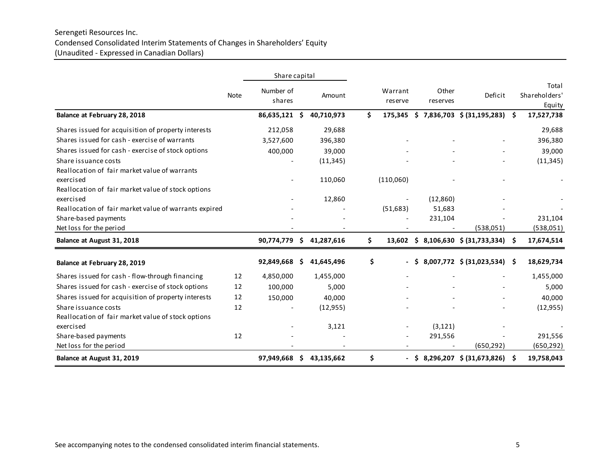# Serengeti Resources Inc. Condensed Consolidated Interim Statements of Changes in Shareholders' Equity (Unaudited - Expressed in Canadian Dollars)

|                                                       |             | Share capital       |     |            |     |                          |      |                   |                                 |      |                                  |
|-------------------------------------------------------|-------------|---------------------|-----|------------|-----|--------------------------|------|-------------------|---------------------------------|------|----------------------------------|
|                                                       | <b>Note</b> | Number of<br>shares |     | Amount     |     | Warrant<br>reserve       |      | Other<br>reserves | Deficit                         |      | Total<br>Shareholders'<br>Equity |
| Balance at February 28, 2018                          |             | 86,635,121          | \$. | 40,710,973 | \$  | 175,345                  |      |                   | $$7,836,703$ $$ (31,195,283)$   | - \$ | 17,527,738                       |
| Shares issued for acquisition of property interests   |             | 212,058             |     | 29,688     |     |                          |      |                   |                                 |      | 29,688                           |
| Shares issued for cash - exercise of warrants         |             | 3,527,600           |     | 396,380    |     |                          |      |                   |                                 |      | 396,380                          |
| Shares issued for cash - exercise of stock options    |             | 400,000             |     | 39,000     |     |                          |      |                   |                                 |      | 39,000                           |
| Share issuance costs                                  |             |                     |     | (11, 345)  |     |                          |      |                   |                                 |      | (11, 345)                        |
| Reallocation of fair market value of warrants         |             |                     |     |            |     |                          |      |                   |                                 |      |                                  |
| exercised                                             |             |                     |     | 110,060    |     | (110,060)                |      |                   |                                 |      |                                  |
| Reallocation of fair market value of stock options    |             |                     |     |            |     |                          |      |                   |                                 |      |                                  |
| exercised                                             |             |                     |     | 12,860     |     |                          |      | (12,860)          |                                 |      |                                  |
| Reallocation of fair market value of warrants expired |             |                     |     |            |     | (51, 683)                |      | 51,683            |                                 |      |                                  |
| Share-based payments                                  |             |                     |     |            |     |                          |      | 231,104           |                                 |      | 231,104                          |
| Net loss for the period                               |             |                     |     |            |     |                          |      |                   | (538,051)                       |      | (538,051)                        |
| Balance at August 31, 2018                            |             | 90,774,779          | Ŝ   | 41,287,616 | \$. | 13,602                   |      |                   | $$8,106,630 \$ (31,733,334) \$$ |      | 17,674,514                       |
| Balance at February 28, 2019                          |             | 92,849,668          | Ŝ   | 41,645,496 | \$  |                          | -S   |                   | 8,007,772 \$ (31,023,534) \$    |      | 18,629,734                       |
| Shares issued for cash - flow-through financing       | 12          | 4,850,000           |     | 1,455,000  |     |                          |      |                   |                                 |      | 1,455,000                        |
| Shares issued for cash - exercise of stock options    | 12          | 100,000             |     | 5,000      |     |                          |      |                   |                                 |      | 5,000                            |
| Shares issued for acquisition of property interests   | 12          | 150,000             |     | 40,000     |     |                          |      |                   |                                 |      | 40,000                           |
| Share issuance costs                                  | 12          |                     |     | (12, 955)  |     |                          |      |                   |                                 |      | (12, 955)                        |
| Reallocation of fair market value of stock options    |             |                     |     |            |     |                          |      |                   |                                 |      |                                  |
| exercised                                             |             |                     |     | 3,121      |     |                          |      | (3, 121)          |                                 |      |                                  |
| Share-based payments                                  | 12          |                     |     |            |     |                          |      | 291,556           |                                 |      | 291,556                          |
| Net loss for the period                               |             |                     |     |            |     |                          |      |                   | (650, 292)                      |      | (650, 292)                       |
| Balance at August 31, 2019                            |             | 97,949,668          | S   | 43,135,662 | \$  | $\overline{\phantom{0}}$ | - \$ |                   | 8,296,207 \$ (31,673,826)       | - \$ | 19,758,043                       |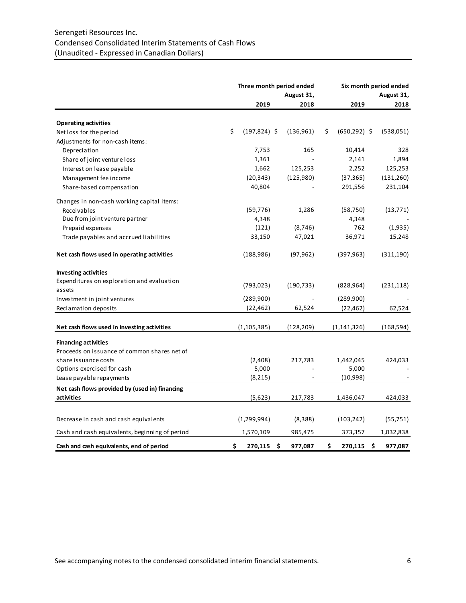# Serengeti Resources Inc. Condensed Consolidated Interim Statements of Cash Flows (Unaudited - Expressed in Canadian Dollars)

|                                                                             | Three month period ended<br>August 31, |    |            |     | Six month period ended<br>August 31, |    |            |
|-----------------------------------------------------------------------------|----------------------------------------|----|------------|-----|--------------------------------------|----|------------|
|                                                                             | 2019                                   |    | 2018       |     | 2019                                 |    | 2018       |
| <b>Operating activities</b>                                                 |                                        |    |            |     |                                      |    |            |
| Net loss for the period                                                     | \$<br>$(197, 824)$ \$                  |    | (136, 961) | \$  | $(650, 292)$ \$                      |    | (538,051)  |
| Adjustments for non-cash items:                                             |                                        |    |            |     |                                      |    |            |
| Depreciation                                                                | 7,753                                  |    | 165        |     | 10,414                               |    | 328        |
| Share of joint venture loss                                                 | 1,361                                  |    |            |     | 2,141                                |    | 1,894      |
| Interest on lease payable                                                   | 1,662                                  |    | 125,253    |     | 2,252                                |    | 125,253    |
| Management fee income                                                       | (20, 343)                              |    | (125,980)  |     | (37, 365)                            |    | (131, 260) |
| Share-based compensation                                                    | 40,804                                 |    |            |     | 291,556                              |    | 231,104    |
| Changes in non-cash working capital items:                                  |                                        |    |            |     |                                      |    |            |
| Receivables                                                                 | (59, 776)                              |    | 1,286      |     | (58, 750)                            |    | (13, 771)  |
| Due from joint venture partner                                              | 4,348                                  |    |            |     | 4,348                                |    |            |
| Prepaid expenses                                                            | (121)                                  |    | (8, 746)   |     | 762                                  |    | (1,935)    |
| Trade payables and accrued liabilities                                      | 33,150                                 |    | 47,021     |     | 36,971                               |    | 15,248     |
| Net cash flows used in operating activities                                 | (188, 986)                             |    | (97, 962)  |     | (397, 963)                           |    | (311,190)  |
| <b>Investing activities</b>                                                 |                                        |    |            |     |                                      |    |            |
| Expenditures on exploration and evaluation                                  |                                        |    |            |     |                                      |    |            |
| assets                                                                      | (793, 023)                             |    | (190, 733) |     | (828, 964)                           |    | (231, 118) |
| Investment in joint ventures                                                | (289,900)                              |    |            |     | (289,900)                            |    |            |
| Reclamation deposits                                                        | (22, 462)                              |    | 62,524     |     | (22, 462)                            |    | 62,524     |
| Net cash flows used in investing activities                                 | (1, 105, 385)                          |    | (128,209)  |     | (1, 141, 326)                        |    | (168,594)  |
|                                                                             |                                        |    |            |     |                                      |    |            |
| <b>Financing activities</b><br>Proceeds on issuance of common shares net of |                                        |    |            |     |                                      |    |            |
| share issuance costs                                                        | (2,408)                                |    | 217,783    |     | 1,442,045                            |    | 424,033    |
| Options exercised for cash                                                  | 5,000                                  |    |            |     | 5,000                                |    |            |
| Lease payable repayments                                                    | (8, 215)                               |    |            |     | (10,998)                             |    |            |
| Net cash flows provided by (used in) financing                              |                                        |    |            |     |                                      |    |            |
| activities                                                                  | (5,623)                                |    | 217,783    |     | 1,436,047                            |    | 424,033    |
|                                                                             |                                        |    |            |     |                                      |    |            |
| Decrease in cash and cash equivalents                                       | (1,299,994)                            |    | (8,388)    |     | (103, 242)                           |    | (55, 751)  |
| Cash and cash equivalents, beginning of period                              | 1,570,109                              |    | 985,475    |     | 373,357                              |    | 1,032,838  |
| Cash and cash equivalents, end of period                                    | \$<br>270,115                          | \$ | 977,087    | \$. | 270,115                              | Ŝ. | 977,087    |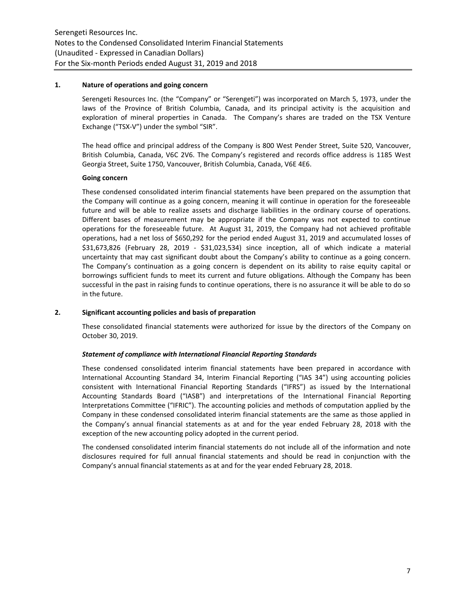#### **1. Nature of operations and going concern**

Serengeti Resources Inc. (the "Company" or "Serengeti") was incorporated on March 5, 1973, under the laws of the Province of British Columbia, Canada, and its principal activity is the acquisition and exploration of mineral properties in Canada. The Company's shares are traded on the TSX Venture Exchange ("TSX-V") under the symbol "SIR".

The head office and principal address of the Company is 800 West Pender Street, Suite 520, Vancouver, British Columbia, Canada, V6C 2V6. The Company's registered and records office address is 1185 West Georgia Street, Suite 1750, Vancouver, British Columbia, Canada, V6E 4E6.

# **Going concern**

These condensed consolidated interim financial statements have been prepared on the assumption that the Company will continue as a going concern, meaning it will continue in operation for the foreseeable future and will be able to realize assets and discharge liabilities in the ordinary course of operations. Different bases of measurement may be appropriate if the Company was not expected to continue operations for the foreseeable future. At August 31, 2019, the Company had not achieved profitable operations, had a net loss of \$650,292 for the period ended August 31, 2019 and accumulated losses of \$31,673,826 (February 28, 2019 - \$31,023,534) since inception, all of which indicate a material uncertainty that may cast significant doubt about the Company's ability to continue as a going concern. The Company's continuation as a going concern is dependent on its ability to raise equity capital or borrowings sufficient funds to meet its current and future obligations. Although the Company has been successful in the past in raising funds to continue operations, there is no assurance it will be able to do so in the future.

#### **2. Significant accounting policies and basis of preparation**

These consolidated financial statements were authorized for issue by the directors of the Company on October 30, 2019.

#### *Statement of compliance with International Financial Reporting Standards*

These condensed consolidated interim financial statements have been prepared in accordance with International Accounting Standard 34, Interim Financial Reporting ("IAS 34") using accounting policies consistent with International Financial Reporting Standards ("IFRS") as issued by the International Accounting Standards Board ("IASB") and interpretations of the International Financial Reporting Interpretations Committee ("IFRIC"). The accounting policies and methods of computation applied by the Company in these condensed consolidated interim financial statements are the same as those applied in the Company's annual financial statements as at and for the year ended February 28, 2018 with the exception of the new accounting policy adopted in the current period.

The condensed consolidated interim financial statements do not include all of the information and note disclosures required for full annual financial statements and should be read in conjunction with the Company's annual financial statements as at and for the year ended February 28, 2018.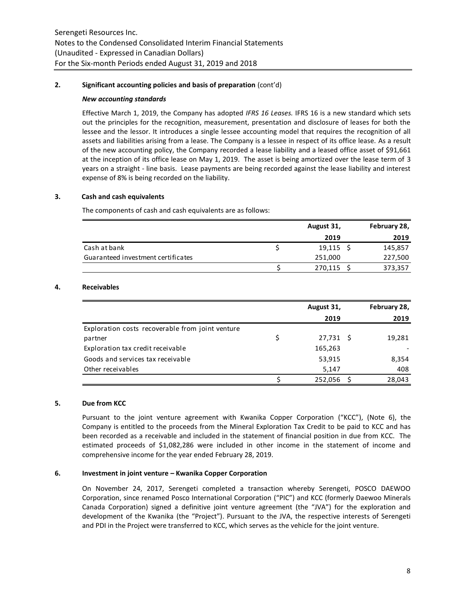# **2. Significant accounting policies and basis of preparation** (cont'd)

#### *New accounting standards*

Effective March 1, 2019, the Company has adopted *IFRS 16 Leases.* IFRS 16 is a new standard which sets out the principles for the recognition, measurement, presentation and disclosure of leases for both the lessee and the lessor. It introduces a single lessee accounting model that requires the recognition of all assets and liabilities arising from a lease. The Company is a lessee in respect of its office lease. As a result of the new accounting policy, the Company recorded a lease liability and a leased office asset of \$91,661 at the inception of its office lease on May 1, 2019. The asset is being amortized over the lease term of 3 years on a straight - line basis. Lease payments are being recorded against the lease liability and interest expense of 8% is being recorded on the liability.

# **3. Cash and cash equivalents**

The components of cash and cash equivalents are as follows:

|                                    | August 31,  | February 28, |
|------------------------------------|-------------|--------------|
|                                    | 2019        | 2019         |
| Cash at bank                       | $19,115$ \$ | 145,857      |
| Guaranteed investment certificates | 251,000     | 227,500      |
|                                    | 270,115     | 373,357      |

# **4. Receivables**

|                                                  | August 31,      | February 28, |
|--------------------------------------------------|-----------------|--------------|
|                                                  | 2019            | 2019         |
| Exploration costs recoverable from joint venture |                 |              |
| partner                                          | \$<br>27,731 \$ | 19,281       |
| Exploration tax credit receivable                | 165,263         |              |
| Goods and services tax receivable                | 53,915          | 8,354        |
| Other receivables                                | 5,147           | 408          |
|                                                  | 252,056         | 28,043       |

#### **5. Due from KCC**

Pursuant to the joint venture agreement with Kwanika Copper Corporation ("KCC"), (Note 6), the Company is entitled to the proceeds from the Mineral Exploration Tax Credit to be paid to KCC and has been recorded as a receivable and included in the statement of financial position in due from KCC. The estimated proceeds of \$1,082,286 were included in other income in the statement of income and comprehensive income for the year ended February 28, 2019.

# **6. Investment in joint venture – Kwanika Copper Corporation**

On November 24, 2017, Serengeti completed a transaction whereby Serengeti, POSCO DAEWOO Corporation, since renamed Posco International Corporation ("PIC") and KCC (formerly Daewoo Minerals Canada Corporation) signed a definitive joint venture agreement (the "JVA") for the exploration and development of the Kwanika (the "Project"). Pursuant to the JVA, the respective interests of Serengeti and PDI in the Project were transferred to KCC, which serves as the vehicle for the joint venture.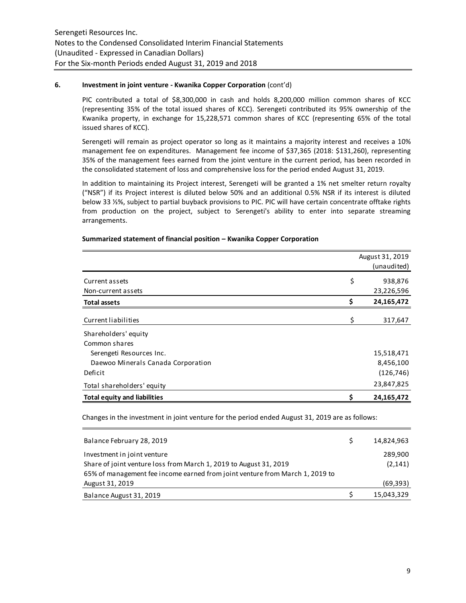# **6. Investment in joint venture - Kwanika Copper Corporation** (cont'd)

PIC contributed a total of \$8,300,000 in cash and holds 8,200,000 million common shares of KCC (representing 35% of the total issued shares of KCC). Serengeti contributed its 95% ownership of the Kwanika property, in exchange for 15,228,571 common shares of KCC (representing 65% of the total issued shares of KCC).

Serengeti will remain as project operator so long as it maintains a majority interest and receives a 10% management fee on expenditures. Management fee income of \$37,365 (2018: \$131,260), representing 35% of the management fees earned from the joint venture in the current period, has been recorded in the consolidated statement of loss and comprehensive loss for the period ended August 31, 2019.

In addition to maintaining its Project interest, Serengeti will be granted a 1% net smelter return royalty ("NSR") if its Project interest is diluted below 50% and an additional 0.5% NSR if its interest is diluted below 33 ⅓%, subject to partial buyback provisions to PIC. PIC will have certain concentrate offtake rights from production on the project, subject to Serengeti's ability to enter into separate streaming arrangements.

|                                     | August 31, 2019 |             |  |  |  |
|-------------------------------------|-----------------|-------------|--|--|--|
|                                     |                 | (unaudited) |  |  |  |
| Current assets                      | \$              | 938,876     |  |  |  |
| Non-current assets                  |                 | 23,226,596  |  |  |  |
| <b>Total assets</b>                 | Ś               | 24,165,472  |  |  |  |
| Current liabilities                 | \$              | 317,647     |  |  |  |
| Shareholders' equity                |                 |             |  |  |  |
| Common shares                       |                 |             |  |  |  |
| Serengeti Resources Inc.            |                 | 15,518,471  |  |  |  |
| Daewoo Minerals Canada Corporation  |                 | 8,456,100   |  |  |  |
| Deficit                             |                 | (126, 746)  |  |  |  |
| Total shareholders' equity          |                 | 23,847,825  |  |  |  |
| <b>Total equity and liabilities</b> | s               | 24,165,472  |  |  |  |

# **Summarized statement of financial position – Kwanika Copper Corporation**

Changes in the investment in joint venture for the period ended August 31, 2019 are as follows:

| Balance February 28, 2019                                                    | 14,824,963 |
|------------------------------------------------------------------------------|------------|
| Investment in joint venture                                                  | 289,900    |
| Share of joint venture loss from March 1, 2019 to August 31, 2019            | (2, 141)   |
| 65% of management fee income earned from joint venture from March 1, 2019 to |            |
| August 31, 2019                                                              | (69, 393)  |
| Balance August 31, 2019                                                      | 15,043,329 |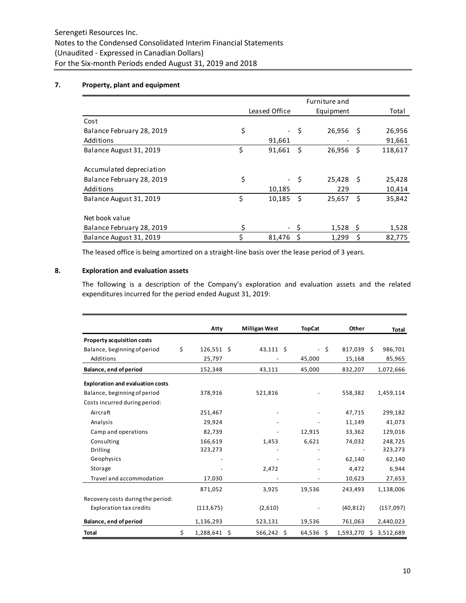# **7. Property, plant and equipment**

|                           | Leased Office                  |     | Equipment |      | Total   |
|---------------------------|--------------------------------|-----|-----------|------|---------|
| Cost                      |                                |     |           |      |         |
| Balance February 28, 2019 | \$<br>$\overline{\phantom{a}}$ | \$  | 26,956    | - S  | 26,956  |
| Additions                 | 91,661                         |     |           |      | 91,661  |
| Balance August 31, 2019   | \$<br>91,661                   | Ŝ.  | 26,956    | - \$ | 118,617 |
|                           |                                |     |           |      |         |
| Accumulated depreciation  |                                |     |           |      |         |
| Balance February 28, 2019 | \$<br>$\overline{\phantom{0}}$ | -\$ | 25,428    | - \$ | 25,428  |
| Additions                 | 10,185                         |     | 229       |      | 10,414  |
| Balance August 31, 2019   | \$<br>10,185                   | -Ś  | 25,657    | - \$ | 35,842  |
|                           |                                |     |           |      |         |
| Net book value            |                                |     |           |      |         |
| Balance February 28, 2019 | \$                             |     | 1,528     | S    | 1,528   |
| Balance August 31, 2019   | \$<br>81,476                   | Ś   | 1,299     | Ś    | 82,775  |

The leased office is being amortized on a straight-line basis over the lease period of 3 years.

# **8. Exploration and evaluation assets**

The following is a description of the Company's exploration and evaluation assets and the related expenditures incurred for the period ended August 31, 2019:

|                                         | Atty               | <b>Milligan West</b> | <b>TopCat</b> |      | Other     |     | Total     |
|-----------------------------------------|--------------------|----------------------|---------------|------|-----------|-----|-----------|
| <b>Property acquisition costs</b>       |                    |                      |               |      |           |     |           |
| Balance, beginning of period            | \$<br>$126,551$ \$ | $43,111$ \$          |               | - \$ | 817,039   | - Ś | 986,701   |
| Additions                               | 25,797             |                      | 45,000        |      | 15,168    |     | 85,965    |
| Balance, end of period                  | 152,348            | 43,111               | 45,000        |      | 832,207   |     | 1,072,666 |
| <b>Exploration and evaluation costs</b> |                    |                      |               |      |           |     |           |
| Balance, beginning of period            | 378,916            | 521,816              |               |      | 558,382   |     | 1,459,114 |
| Costs incurred during period:           |                    |                      |               |      |           |     |           |
| Aircraft                                | 251,467            |                      |               |      | 47,715    |     | 299,182   |
| Analysis                                | 29,924             |                      |               |      | 11,149    |     | 41,073    |
| Camp and operations                     | 82,739             |                      | 12,915        |      | 33,362    |     | 129,016   |
| Consulting                              | 166,619            | 1,453                | 6,621         |      | 74,032    |     | 248,725   |
| <b>Drilling</b>                         | 323,273            |                      |               |      |           |     | 323,273   |
| Geophysics                              |                    |                      |               |      | 62,140    |     | 62,140    |
| Storage                                 |                    | 2,472                |               |      | 4,472     |     | 6,944     |
| Travel and accommodation                | 17,030             |                      |               |      | 10,623    |     | 27,653    |
|                                         | 871,052            | 3,925                | 19,536        |      | 243,493   |     | 1,138,006 |
| Recovery costs during the period:       |                    |                      |               |      |           |     |           |
| <b>Exploration tax credits</b>          | (113, 675)         | (2,610)              |               |      | (40, 812) |     | (157,097) |
| Balance, end of period                  | 1,136,293          | 523,131              | 19,536        |      | 761,063   |     | 2,440,023 |
| Total                                   | \$<br>1,288,641 \$ | 566,242 \$           | 64,536        | \$   | 1,593,270 | Ŝ.  | 3,512,689 |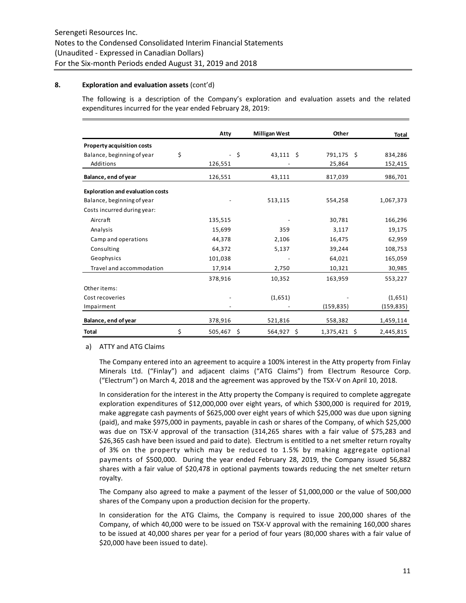# **8. Exploration and evaluation assets** (cont'd)

The following is a description of the Company's exploration and evaluation assets and the related expenditures incurred for the year ended February 28, 2019:

|                                         | Atty          |    | <b>Milligan West</b> | Other          | Total      |
|-----------------------------------------|---------------|----|----------------------|----------------|------------|
| Property acquisition costs              |               |    |                      |                |            |
| Balance, beginning of year              | \$            | Ŝ. | $43,111$ \$          | 791,175 \$     | 834,286    |
| Additions                               | 126,551       |    |                      | 25,864         | 152,415    |
| Balance, end of year                    | 126,551       |    | 43,111               | 817,039        | 986,701    |
| <b>Exploration and evaluation costs</b> |               |    |                      |                |            |
| Balance, beginning of year              |               |    | 513,115              | 554,258        | 1,067,373  |
| Costs incurred during year:             |               |    |                      |                |            |
| Aircraft                                | 135,515       |    |                      | 30,781         | 166,296    |
| Analysis                                | 15,699        |    | 359                  | 3,117          | 19,175     |
| Camp and operations                     | 44,378        |    | 2,106                | 16,475         | 62,959     |
| Consulting                              | 64,372        |    | 5,137                | 39,244         | 108,753    |
| Geophysics                              | 101,038       |    |                      | 64,021         | 165,059    |
| Travel and accommodation                | 17,914        |    | 2,750                | 10,321         | 30,985     |
|                                         | 378,916       |    | 10,352               | 163,959        | 553,227    |
| Other items:                            |               |    |                      |                |            |
| Cost recoveries                         |               |    | (1,651)              |                | (1,651)    |
| Impairment                              |               |    |                      | (159, 835)     | (159, 835) |
| Balance, end of year                    | 378,916       |    | 521,816              | 558,382        | 1,459,114  |
| <b>Total</b>                            | \$<br>505,467 | Ŝ. | 564,927 \$           | $1,375,421$ \$ | 2,445,815  |

a) ATTY and ATG Claims

The Company entered into an agreement to acquire a 100% interest in the Atty property from Finlay Minerals Ltd. ("Finlay") and adjacent claims ("ATG Claims") from Electrum Resource Corp. ("Electrum") on March 4, 2018 and the agreement was approved by the TSX-V on April 10, 2018.

In consideration for the interest in the Atty property the Company is required to complete aggregate exploration expenditures of \$12,000,000 over eight years, of which \$300,000 is required for 2019, make aggregate cash payments of \$625,000 over eight years of which \$25,000 was due upon signing (paid), and make \$975,000 in payments, payable in cash or shares of the Company, of which \$25,000 was due on TSX-V approval of the transaction (314,265 shares with a fair value of \$75,283 and \$26,365 cash have been issued and paid to date). Electrum is entitled to a net smelter return royalty of 3% on the property which may be reduced to 1.5% by making aggregate optional payments of \$500,000. During the year ended February 28, 2019, the Company issued 56,882 shares with a fair value of \$20,478 in optional payments towards reducing the net smelter return royalty.

The Company also agreed to make a payment of the lesser of \$1,000,000 or the value of 500,000 shares of the Company upon a production decision for the property.

In consideration for the ATG Claims, the Company is required to issue 200,000 shares of the Company, of which 40,000 were to be issued on TSX-V approval with the remaining 160,000 shares to be issued at 40,000 shares per year for a period of four years (80,000 shares with a fair value of \$20,000 have been issued to date).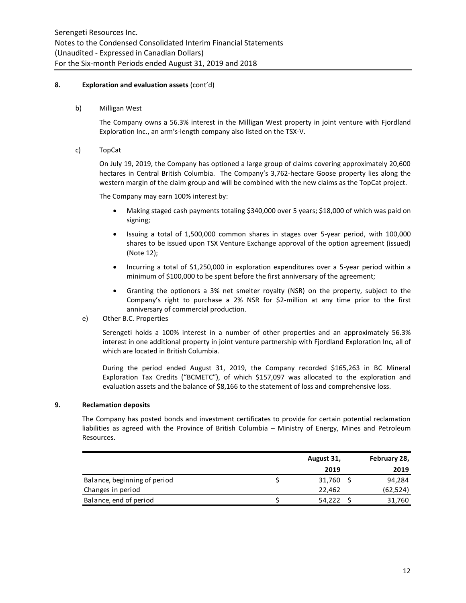# **8. Exploration and evaluation assets** (cont'd)

b) Milligan West

The Company owns a 56.3% interest in the Milligan West property in joint venture with Fjordland Exploration Inc., an arm's-length company also listed on the TSX-V.

c) TopCat

On July 19, 2019, the Company has optioned a large group of claims covering approximately 20,600 hectares in Central British Columbia. The Company's 3,762-hectare Goose property lies along the western margin of the claim group and will be combined with the new claims as the TopCat project.

The Company may earn 100% interest by:

- Making staged cash payments totaling \$340,000 over 5 years; \$18,000 of which was paid on signing;
- Issuing a total of 1,500,000 common shares in stages over 5-year period, with 100,000 shares to be issued upon TSX Venture Exchange approval of the option agreement (issued) (Note 12);
- Incurring a total of \$1,250,000 in exploration expenditures over a 5-year period within a minimum of \$100,000 to be spent before the first anniversary of the agreement;
- Granting the optionors a 3% net smelter royalty (NSR) on the property, subject to the Company's right to purchase a 2% NSR for \$2-million at any time prior to the first anniversary of commercial production.
- e) Other B.C. Properties

Serengeti holds a 100% interest in a number of other properties and an approximately 56.3% interest in one additional property in joint venture partnership with Fjordland Exploration Inc, all of which are located in British Columbia.

During the period ended August 31, 2019, the Company recorded \$165,263 in BC Mineral Exploration Tax Credits ("BCMETC"), of which \$157,097 was allocated to the exploration and evaluation assets and the balance of \$8,166 to the statement of loss and comprehensive loss.

# **9. Reclamation deposits**

The Company has posted bonds and investment certificates to provide for certain potential reclamation liabilities as agreed with the Province of British Columbia – Ministry of Energy, Mines and Petroleum Resources.

|                              | August 31, | February 28, |
|------------------------------|------------|--------------|
|                              | 2019       | 2019         |
| Balance, beginning of period | 31,760     | 94,284       |
| Changes in period            | 22,462     | (62, 524)    |
| Balance, end of period       | 54,222     | 31,760       |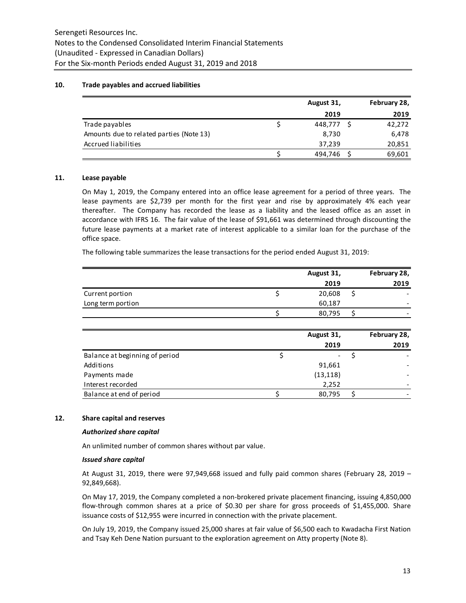# **10. Trade payables and accrued liabilities**

|                                          | August 31, | February 28, |
|------------------------------------------|------------|--------------|
|                                          | 2019       | 2019         |
| Trade payables                           | 448.777    | 42,272       |
| Amounts due to related parties (Note 13) | 8,730      | 6,478        |
| Accrued liabilities                      | 37,239     | 20,851       |
|                                          | 494.746    | 69,601       |

# **11. Lease payable**

On May 1, 2019, the Company entered into an office lease agreement for a period of three years. The lease payments are \$2,739 per month for the first year and rise by approximately 4% each year thereafter. The Company has recorded the lease as a liability and the leased office as an asset in accordance with IFRS 16. The fair value of the lease of \$91,661 was determined through discounting the future lease payments at a market rate of interest applicable to a similar loan for the purchase of the office space.

The following table summarizes the lease transactions for the period ended August 31, 2019:

|                   | August 31, |  | February 28, |
|-------------------|------------|--|--------------|
|                   | 2019       |  | 2019         |
| Current portion   | 20,608     |  |              |
| Long term portion | 60,187     |  | -            |
|                   | 80,795     |  |              |

|                                | August 31, | February 28, |
|--------------------------------|------------|--------------|
|                                | 2019       | 2019         |
| Balance at beginning of period | -          |              |
| Additions                      | 91,661     |              |
| Payments made                  | (13, 118)  |              |
| Interest recorded              | 2,252      |              |
| Balance at end of period       | 80,795     |              |

# **12. Share capital and reserves**

#### *Authorized share capital*

An unlimited number of common shares without par value.

#### *Issued share capital*

At August 31, 2019, there were 97,949,668 issued and fully paid common shares (February 28, 2019 – 92,849,668).

On May 17, 2019, the Company completed a non-brokered private placement financing, issuing 4,850,000 flow-through common shares at a price of \$0.30 per share for gross proceeds of \$1,455,000. Share issuance costs of \$12,955 were incurred in connection with the private placement.

On July 19, 2019, the Company issued 25,000 shares at fair value of \$6,500 each to Kwadacha First Nation and Tsay Keh Dene Nation pursuant to the exploration agreement on Atty property (Note 8).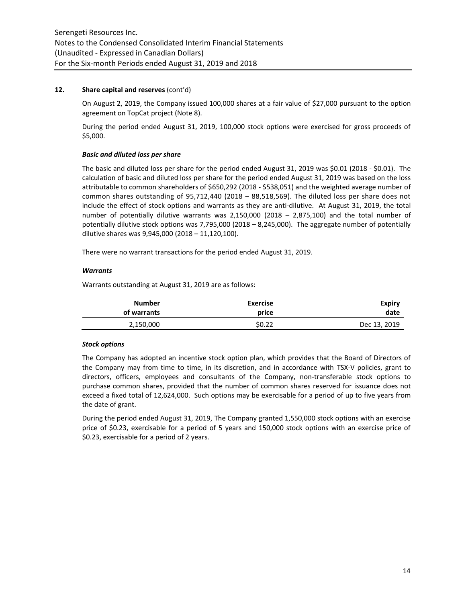# **12. Share capital and reserves** (cont'd)

On August 2, 2019, the Company issued 100,000 shares at a fair value of \$27,000 pursuant to the option agreement on TopCat project (Note 8).

During the period ended August 31, 2019, 100,000 stock options were exercised for gross proceeds of \$5,000.

# *Basic and diluted loss per share*

The basic and diluted loss per share for the period ended August 31, 2019 was \$0.01 (2018 - \$0.01). The calculation of basic and diluted loss per share for the period ended August 31, 2019 was based on the loss attributable to common shareholders of \$650,292 (2018 - \$538,051) and the weighted average number of common shares outstanding of 95,712,440 (2018 – 88,518,569). The diluted loss per share does not include the effect of stock options and warrants as they are anti-dilutive. At August 31, 2019, the total number of potentially dilutive warrants was 2,150,000 (2018 – 2,875,100) and the total number of potentially dilutive stock options was 7,795,000 (2018 – 8,245,000). The aggregate number of potentially dilutive shares was 9,945,000 (2018 – 11,120,100).

There were no warrant transactions for the period ended August 31, 2019.

# *Warrants*

Warrants outstanding at August 31, 2019 are as follows:

| Number      | <b>Exercise</b> | Expiry       |
|-------------|-----------------|--------------|
| of warrants | price           | date         |
| 2,150,000   | \$0.22          | Dec 13, 2019 |

# *Stock options*

The Company has adopted an incentive stock option plan, which provides that the Board of Directors of the Company may from time to time, in its discretion, and in accordance with TSX-V policies, grant to directors, officers, employees and consultants of the Company, non-transferable stock options to purchase common shares, provided that the number of common shares reserved for issuance does not exceed a fixed total of 12,624,000. Such options may be exercisable for a period of up to five years from the date of grant.

During the period ended August 31, 2019, The Company granted 1,550,000 stock options with an exercise price of \$0.23, exercisable for a period of 5 years and 150,000 stock options with an exercise price of \$0.23, exercisable for a period of 2 years.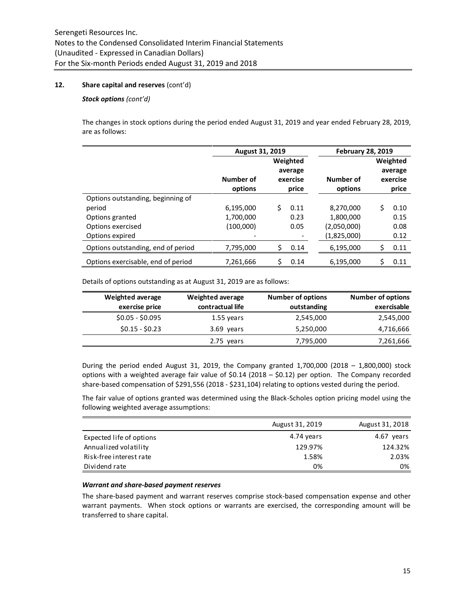# **12. Share capital and reserves** (cont'd)

#### *Stock options (cont'd)*

The changes in stock options during the period ended August 31, 2019 and year ended February 28, 2019, are as follows:

|                                                                                                        | <b>August 31, 2019</b>              |                                          |                      | <b>February 28, 2019</b>                             |                                          |                              |  |
|--------------------------------------------------------------------------------------------------------|-------------------------------------|------------------------------------------|----------------------|------------------------------------------------------|------------------------------------------|------------------------------|--|
|                                                                                                        | Number of<br>options                | Weighted<br>average<br>exercise<br>price |                      | Number of<br>options                                 | Weighted<br>average<br>exercise<br>price |                              |  |
| Options outstanding, beginning of<br>period<br>Options granted<br>Options exercised<br>Options expired | 6,195,000<br>1,700,000<br>(100,000) | Ś.                                       | 0.11<br>0.23<br>0.05 | 8,270,000<br>1,800,000<br>(2,050,000)<br>(1,825,000) | Ś.                                       | 0.10<br>0.15<br>0.08<br>0.12 |  |
| Options outstanding, end of period                                                                     | 7,795,000                           | \$                                       | 0.14                 | 6,195,000                                            | \$                                       | 0.11                         |  |
| Options exercisable, end of period                                                                     | 7,261,666                           | \$                                       | 0.14                 | 6,195,000                                            | \$                                       | 0.11                         |  |

Details of options outstanding as at August 31, 2019 are as follows:

| <b>Weighted average</b> | <b>Weighted average</b> | <b>Number of options</b> | <b>Number of options</b> |
|-------------------------|-------------------------|--------------------------|--------------------------|
| exercise price          | contractual life        | outstanding              | exercisable              |
| $$0.05 - $0.095$        | 1.55 years              | 2,545,000                | 2,545,000                |
| $$0.15 - $0.23$$        | 3.69 years              | 5,250,000                | 4,716,666                |
|                         | 2.75 years              | 7,795,000                | 7,261,666                |

During the period ended August 31, 2019, the Company granted  $1,700,000$  (2018 –  $1,800,000$ ) stock options with a weighted average fair value of \$0.14 (2018 – \$0.12) per option. The Company recorded share-based compensation of \$291,556 (2018 - \$231,104) relating to options vested during the period.

The fair value of options granted was determined using the Black-Scholes option pricing model using the following weighted average assumptions:

|                          | August 31, 2019 | August 31, 2018 |
|--------------------------|-----------------|-----------------|
| Expected life of options | 4.74 years      | 4.67 years      |
| Annualized volatility    | 129.97%         | 124.32%         |
| Risk-free interest rate  | 1.58%           | 2.03%           |
| Dividend rate            | 0%              | 0%              |
|                          |                 |                 |

#### *Warrant and share-based payment reserves*

The share-based payment and warrant reserves comprise stock-based compensation expense and other warrant payments. When stock options or warrants are exercised, the corresponding amount will be transferred to share capital.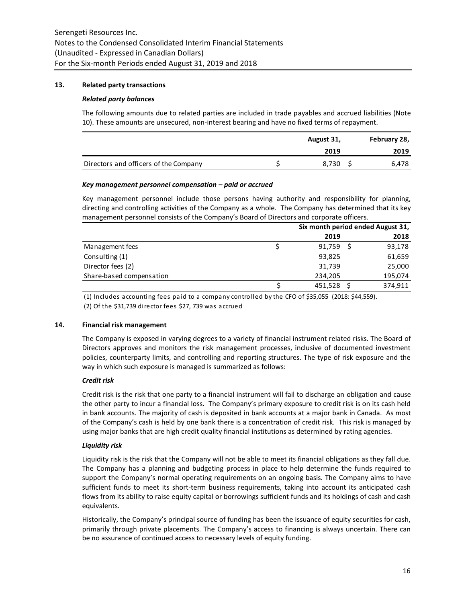# **13. Related party transactions**

#### *Related party balances*

The following amounts due to related parties are included in trade payables and accrued liabilities (Note 10). These amounts are unsecured, non-interest bearing and have no fixed terms of repayment.

|                                       | August 31, |       | February 28, |
|---------------------------------------|------------|-------|--------------|
|                                       |            | 2019  | 2019         |
| Directors and officers of the Company |            | 8.730 | 6,478        |

# *Key management personnel compensation – paid or accrued*

Key management personnel include those persons having authority and responsibility for planning, directing and controlling activities of the Company as a whole. The Company has determined that its key management personnel consists of the Company's Board of Directors and corporate officers.

|                          | Six month period ended August 31, |  |         |  |
|--------------------------|-----------------------------------|--|---------|--|
|                          | 2019                              |  | 2018    |  |
| Management fees          | 91,759                            |  | 93,178  |  |
| Consulting (1)           | 93,825                            |  | 61,659  |  |
| Director fees (2)        | 31,739                            |  | 25,000  |  |
| Share-based compensation | 234,205                           |  | 195,074 |  |
|                          | 451,528                           |  | 374,911 |  |

(1) Includes accounting fees paid to a company controlled by the CFO of \$35,055 (2018: \$44,559). (2) Of the \$31,739 director fees \$27, 739 was accrued

# **14. Financial risk management**

The Company is exposed in varying degrees to a variety of financial instrument related risks. The Board of Directors approves and monitors the risk management processes, inclusive of documented investment policies, counterparty limits, and controlling and reporting structures. The type of risk exposure and the way in which such exposure is managed is summarized as follows:

# *Credit risk*

Credit risk is the risk that one party to a financial instrument will fail to discharge an obligation and cause the other party to incur a financial loss. The Company's primary exposure to credit risk is on its cash held in bank accounts. The majority of cash is deposited in bank accounts at a major bank in Canada. As most of the Company's cash is held by one bank there is a concentration of credit risk. This risk is managed by using major banks that are high credit quality financial institutions as determined by rating agencies.

# *Liquidity risk*

Liquidity risk is the risk that the Company will not be able to meet its financial obligations as they fall due. The Company has a planning and budgeting process in place to help determine the funds required to support the Company's normal operating requirements on an ongoing basis. The Company aims to have sufficient funds to meet its short-term business requirements, taking into account its anticipated cash flows from its ability to raise equity capital or borrowings sufficient funds and its holdings of cash and cash equivalents.

Historically, the Company's principal source of funding has been the issuance of equity securities for cash, primarily through private placements. The Company's access to financing is always uncertain. There can be no assurance of continued access to necessary levels of equity funding.